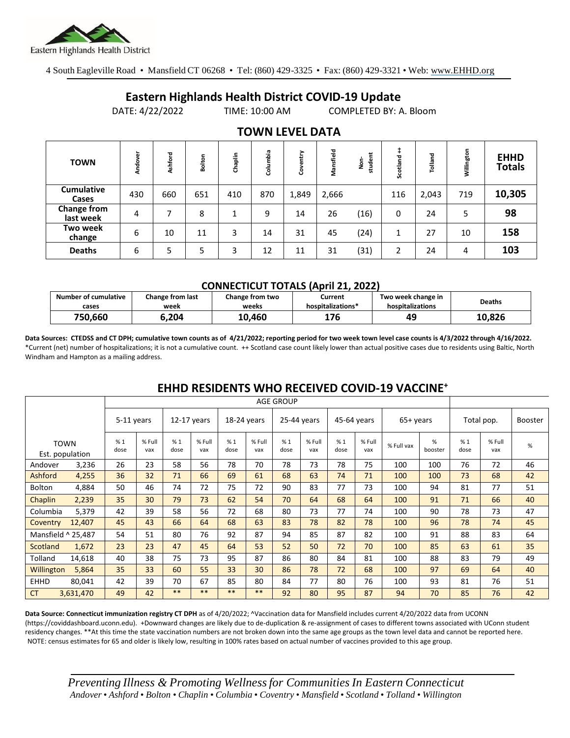

4 South Eagleville Road • Mansfield CT 06268 • Tel: (860) 429-3325 • Fax: (860) 429-3321 • Web: www.EHHD.org

## **Eastern Highlands Health District COVID-19 Update**

DATE: 4/22/2022 TIME: 10:00 AM COMPLETED BY: A. Bloom

| <b>TOWN</b>                     | Andover | Ashford | Bolton | Chaplin | Columbia | ntry<br>පි | Mansfield | Ë<br>ġ<br>stude | Scotland | Tolland | Willington | <b>EHHD</b><br><b>Totals</b> |
|---------------------------------|---------|---------|--------|---------|----------|------------|-----------|-----------------|----------|---------|------------|------------------------------|
| <b>Cumulative</b><br>Cases      | 430     | 660     | 651    | 410     | 870      | 1,849      | 2,666     |                 | 116      | 2,043   | 719        | 10,305                       |
| <b>Change from</b><br>last week | 4       |         | 8      | 1       | 9        | 14         | 26        | (16)            | 0        | 24      | 5          | 98                           |
| Two week<br>change              | 6       | 10      | 11     | 3       | 14       | 31         | 45        | (24)            |          | 27      | 10         | 158                          |
| <b>Deaths</b>                   | 6       | 5       | 5      | 3       | 12       | 11         | 31        | (31)            | 2        | 24      | 4          | 103                          |

### **TOWN LEVEL DATA**

#### **CONNECTICUT TOTALS (April 21, 2022)**

| Number of cumulative | Change from last | Change from two | Current           | Two week change in | <b>Deaths</b> |
|----------------------|------------------|-----------------|-------------------|--------------------|---------------|
| cases                | week             | weeks           | hospitalizations* | hospitalizations   |               |
| 750.660              | .204             | 10.460          | 176               | 49                 | 10.826        |

**Data Sources: CTEDSS and CT DPH; cumulative town counts as of 4/21/2022; reporting period for two week town level case counts is 4/3/2022 through 4/16/2022.** \*Current (net) number of hospitalizations; it is not a cumulative count. ++ Scotland case count likely lower than actual positive cases due to residents using Baltic, North Windham and Hampton as a mailing address.

|                    |                                | <b>AGE GROUP</b> |               |               |               |             |               |             |               |             |               |            |              |            |               |                |
|--------------------|--------------------------------|------------------|---------------|---------------|---------------|-------------|---------------|-------------|---------------|-------------|---------------|------------|--------------|------------|---------------|----------------|
|                    |                                | 5-11 years       |               | $12-17$ years |               | 18-24 years |               | 25-44 years |               | 45-64 years |               | $65+vears$ |              | Total pop. |               | <b>Booster</b> |
|                    | <b>TOWN</b><br>Est. population | %1<br>dose       | % Full<br>vax | %1<br>dose    | % Full<br>vax | %1<br>dose  | % Full<br>vax | %1<br>dose  | % Full<br>vax | %1<br>dose  | % Full<br>vax | % Full vax | %<br>booster | %1<br>dose | % Full<br>vax | $\%$           |
| Andover            | 3,236                          | 26               | 23            | 58            | 56            | 78          | 70            | 78          | 73            | 78          | 75            | 100        | 100          | 76         | 72            | 46             |
| Ashford            | 4,255                          | 36               | 32            | 71            | 66            | 69          | 61            | 68          | 63            | 74          | 71            | 100        | 100          | 73         | 68            | 42             |
| Bolton             | 4,884                          | 50               | 46            | 74            | 72            | 75          | 72            | 90          | 83            | 77          | 73            | 100        | 94           | 81         | 77            | 51             |
| Chaplin            | 2,239                          | 35               | 30            | 79            | 73            | 62          | 54            | 70          | 64            | 68          | 64            | 100        | 91           | 71         | 66            | 40             |
| Columbia           | 5,379                          | 42               | 39            | 58            | 56            | 72          | 68            | 80          | 73            | 77          | 74            | 100        | 90           | 78         | 73            | 47             |
| Coventry           | 12,407                         | 45               | 43            | 66            | 64            | 68          | 63            | 83          | 78            | 82          | 78            | 100        | 96           | 78         | 74            | 45             |
| Mansfield ^ 25,487 |                                | 54               | 51            | 80            | 76            | 92          | 87            | 94          | 85            | 87          | 82            | 100        | 91           | 88         | 83            | 64             |
| Scotland           | 1,672                          | 23               | 23            | 47            | 45            | 64          | 53            | 52          | 50            | 72          | 70            | 100        | 85           | 63         | 61            | 35             |
| Tolland            | 14,618                         | 40               | 38            | 75            | 73            | 95          | 87            | 86          | 80            | 84          | 81            | 100        | 88           | 83         | 79            | 49             |
| Willington         | 5,864                          | 35               | 33            | 60            | 55            | 33          | 30            | 86          | 78            | 72          | 68            | 100        | 97           | 69         | 64            | 40             |
| <b>EHHD</b>        | 80,041                         | 42               | 39            | 70            | 67            | 85          | 80            | 84          | 77            | 80          | 76            | 100        | 93           | 81         | 76            | 51             |
| <b>CT</b>          | 3,631,470                      | 49               | 42            | $***$         | $***$         | **          | **            | 92          | 80            | 95          | 87            | 94         | 70           | 85         | 76            | 42             |

## **EHHD RESIDENTS WHO RECEIVED COVID-19 VACCINE<sup>+</sup>**

**Data Source: Connecticut immunization registry CT DPH** as of 4/20/2022; ^Vaccination data for Mansfield includes current 4/20/2022 data from UCONN (https://coviddashboard.uconn.edu). +Downward changes are likely due to de-duplication & re-assignment of cases to different towns associated with UConn student residency changes. \*\*At this time the state vaccination numbers are not broken down into the same age groups as the town level data and cannot be reported here. NOTE: census estimates for 65 and older is likely low, resulting in 100% rates based on actual number of vaccines provided to this age group.

*Preventing Illness & Promoting Wellnessfor Communities In Eastern Connecticut* Andover • Ashford • Bolton • Chaplin • Columbia • Coventry • Mansfield • Scotland • Tolland • Willington